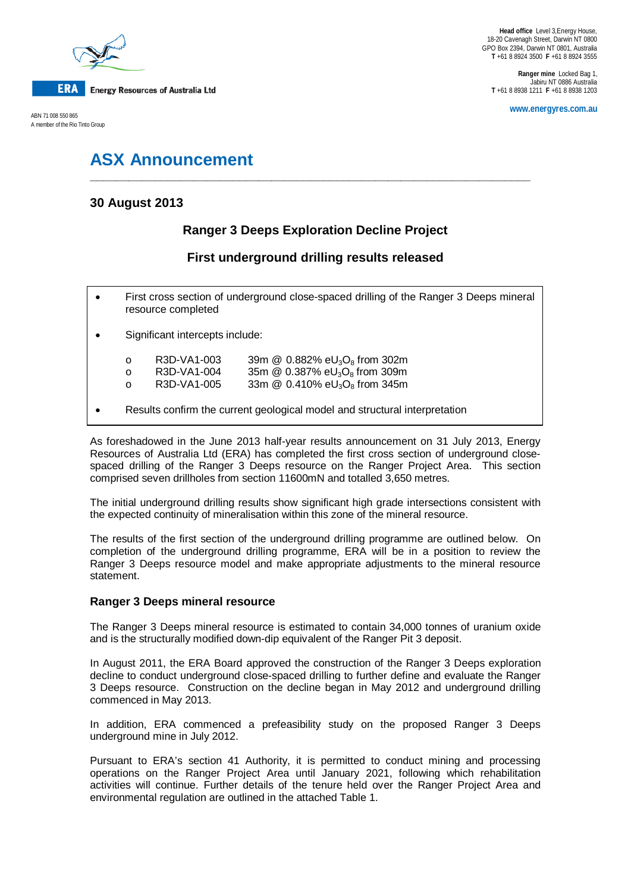

A member of the Rio Tinto Group

**Ranger mine** Locked Bag 1, Jabiru NT 0886 Australia **T** +61 8 8938 1211 **F** +61 8 8938 1203

**www.energyres.com.au** ABN 71 008 550 865

# **ASX Announcement**

## **30 August 2013**

# **Ranger 3 Deeps Exploration Decline Project**

**\_\_\_\_\_\_\_\_\_\_\_\_\_\_\_\_\_\_\_\_\_\_\_\_\_\_\_\_\_\_\_\_\_\_\_\_\_\_\_\_\_\_\_\_\_\_\_\_\_\_\_\_\_\_\_\_\_\_\_\_\_\_\_\_\_\_\_\_**

## **First underground drilling results released**

- First cross section of underground close-spaced drilling of the Ranger 3 Deeps mineral resource completed
- Significant intercepts include:

| $\circ$  | R3D-VA1-003 | 39m $@$ 0.882% eU <sub>3</sub> O <sub>8</sub> from 302m      |
|----------|-------------|--------------------------------------------------------------|
| ∩        | R3D-VA1-004 | 35m $@$ 0.387% eU <sub>3</sub> O <sub>8</sub> from 309m      |
| $\Omega$ | R3D-VA1-005 | 33m $\omega$ 0.410% eU <sub>3</sub> O <sub>8</sub> from 345m |
|          |             |                                                              |

• Results confirm the current geological model and structural interpretation

As foreshadowed in the June 2013 half-year results announcement on 31 July 2013, Energy Resources of Australia Ltd (ERA) has completed the first cross section of underground closespaced drilling of the Ranger 3 Deeps resource on the Ranger Project Area. This section comprised seven drillholes from section 11600mN and totalled 3,650 metres.

The initial underground drilling results show significant high grade intersections consistent with the expected continuity of mineralisation within this zone of the mineral resource.

The results of the first section of the underground drilling programme are outlined below. On completion of the underground drilling programme, ERA will be in a position to review the Ranger 3 Deeps resource model and make appropriate adjustments to the mineral resource statement.

### **Ranger 3 Deeps mineral resource**

The Ranger 3 Deeps mineral resource is estimated to contain 34,000 tonnes of uranium oxide and is the structurally modified down-dip equivalent of the Ranger Pit 3 deposit.

In August 2011, the ERA Board approved the construction of the Ranger 3 Deeps exploration decline to conduct underground close-spaced drilling to further define and evaluate the Ranger 3 Deeps resource. Construction on the decline began in May 2012 and underground drilling commenced in May 2013.

In addition, ERA commenced a prefeasibility study on the proposed Ranger 3 Deeps underground mine in July 2012.

Pursuant to ERA's section 41 Authority, it is permitted to conduct mining and processing operations on the Ranger Project Area until January 2021, following which rehabilitation activities will continue. Further details of the tenure held over the Ranger Project Area and environmental regulation are outlined in the attached Table 1.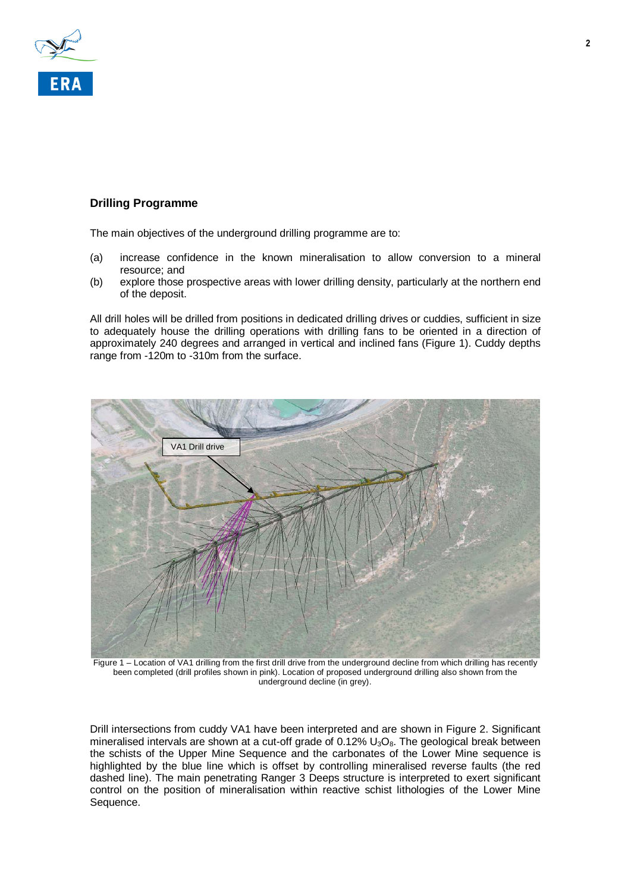

### **Drilling Programme**

The main objectives of the underground drilling programme are to:

- (a) increase confidence in the known mineralisation to allow conversion to a mineral resource; and
- (b) explore those prospective areas with lower drilling density, particularly at the northern end of the deposit.

All drill holes will be drilled from positions in dedicated drilling drives or cuddies, sufficient in size to adequately house the drilling operations with drilling fans to be oriented in a direction of approximately 240 degrees and arranged in vertical and inclined fans (Figure 1). Cuddy depths range from -120m to -310m from the surface.



Figure 1 – Location of VA1 drilling from the first drill drive from the underground decline from which drilling has recently been completed (drill profiles shown in pink). Location of proposed underground drilling also shown from the underground decline (in grey).

Drill intersections from cuddy VA1 have been interpreted and are shown in Figure 2. Significant mineralised intervals are shown at a cut-off grade of  $0.12\%$  U<sub>3</sub>O<sub>8</sub>. The geological break between the schists of the Upper Mine Sequence and the carbonates of the Lower Mine sequence is highlighted by the blue line which is offset by controlling mineralised reverse faults (the red dashed line). The main penetrating Ranger 3 Deeps structure is interpreted to exert significant control on the position of mineralisation within reactive schist lithologies of the Lower Mine Sequence.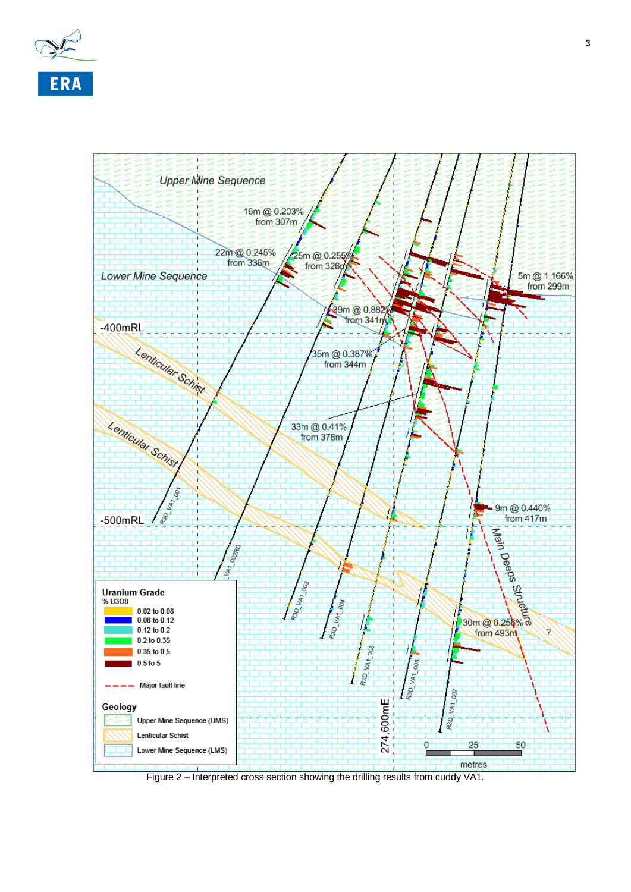



Figure 2 – Interpreted cross section showing the drilling results from cuddy VA1.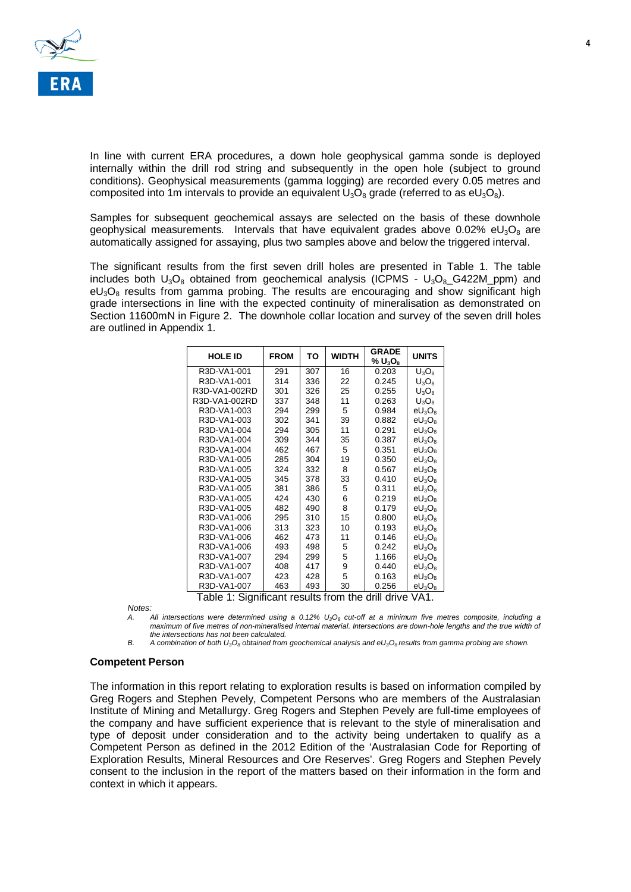

In line with current ERA procedures, a down hole geophysical gamma sonde is deployed internally within the drill rod string and subsequently in the open hole (subject to ground conditions). Geophysical measurements (gamma logging) are recorded every 0.05 metres and composited into 1m intervals to provide an equivalent  $U_3O_8$  grade (referred to as eU<sub>3</sub>O<sub>8</sub>).

Samples for subsequent geochemical assays are selected on the basis of these downhole geophysical measurements. Intervals that have equivalent grades above  $0.02\%$  eU<sub>3</sub>O<sub>8</sub> are automatically assigned for assaying, plus two samples above and below the triggered interval.

The significant results from the first seven drill holes are presented in Table 1. The table includes both  $U_3O_8$  obtained from geochemical analysis (ICPMS -  $U_3O_8$  G422M ppm) and  $eU_3O_8$  results from gamma probing. The results are encouraging and show significant high grade intersections in line with the expected continuity of mineralisation as demonstrated on Section 11600mN in Figure 2. The downhole collar location and survey of the seven drill holes are outlined in Appendix 1.

| <b>HOLE ID</b> | <b>FROM</b> | ΤО  | WIDTH | <b>GRADE</b><br>$\%$ U <sub>3</sub> O <sub>8</sub> | <b>UNITS</b> |
|----------------|-------------|-----|-------|----------------------------------------------------|--------------|
| R3D-VA1-001    | 291         | 307 | 16    | 0.203                                              | $U_3O_8$     |
| R3D-VA1-001    | 314         | 336 | 22    | 0.245                                              | $U_3O_8$     |
| R3D-VA1-002RD  | 301         | 326 | 25    | 0.255                                              | $U_3O_8$     |
| R3D-VA1-002RD  | 337         | 348 | 11    | 0.263                                              | $U_3O_8$     |
| R3D-VA1-003    | 294         | 299 | 5     | 0.984                                              | $eU_3O_8$    |
| R3D-VA1-003    | 302         | 341 | 39    | 0.882                                              | $eU_3O_8$    |
| R3D-VA1-004    | 294         | 305 | 11    | 0.291                                              | $eU_3O_8$    |
| R3D-VA1-004    | 309         | 344 | 35    | 0.387                                              | $eU_3O_8$    |
| R3D-VA1-004    | 462         | 467 | 5     | 0.351                                              | $eU_3O_8$    |
| R3D-VA1-005    | 285         | 304 | 19    | 0.350                                              | $eU_3O_8$    |
| R3D-VA1-005    | 324         | 332 | 8     | 0.567                                              | $eU_3O_8$    |
| R3D-VA1-005    | 345         | 378 | 33    | 0.410                                              | $eU_3O_8$    |
| R3D-VA1-005    | 381         | 386 | 5     | 0.311                                              | $eU_3O_8$    |
| R3D-VA1-005    | 424         | 430 | 6     | 0.219                                              | $eU_3O_8$    |
| R3D-VA1-005    | 482         | 490 | 8     | 0.179                                              | $eU_3O_8$    |
| R3D-VA1-006    | 295         | 310 | 15    | 0.800                                              | $eU_3O_8$    |
| R3D-VA1-006    | 313         | 323 | 10    | 0.193                                              | $eU_3O_8$    |
| R3D-VA1-006    | 462         | 473 | 11    | 0.146                                              | $eU_3O_8$    |
| R3D-VA1-006    | 493         | 498 | 5     | 0.242                                              | $eU_3O_8$    |
| R3D-VA1-007    | 294         | 299 | 5     | 1.166                                              | $eU_3O_8$    |
| R3D-VA1-007    | 408         | 417 | 9     | 0.440                                              | $eU_3O_8$    |
| R3D-VA1-007    | 423         | 428 | 5     | 0.163                                              | $eU_3O_8$    |
| R3D-VA1-007    | 463         | 493 | 30    | 0.256                                              | $eU_3O_8$    |

Table 1: Significant results from the drill drive VA1.

*Notes:*

All intersections were determined using a 0.12% U<sub>3</sub>O<sub>8</sub> cut-off at a minimum five metres composite, including a *maximum of five metres of non-mineralised internal material. Intersections are down-hole lengths and the true width of the intersections has not been calculated.*

*B. A combination of both U3O8 obtained from geochemical analysis and eU3O8 results from gamma probing are shown.*

### **Competent Person**

The information in this report relating to exploration results is based on information compiled by Greg Rogers and Stephen Pevely, Competent Persons who are members of the Australasian Institute of Mining and Metallurgy. Greg Rogers and Stephen Pevely are full-time employees of the company and have sufficient experience that is relevant to the style of mineralisation and type of deposit under consideration and to the activity being undertaken to qualify as a Competent Person as defined in the 2012 Edition of the 'Australasian Code for Reporting of Exploration Results, Mineral Resources and Ore Reserves'. Greg Rogers and Stephen Pevely consent to the inclusion in the report of the matters based on their information in the form and context in which it appears.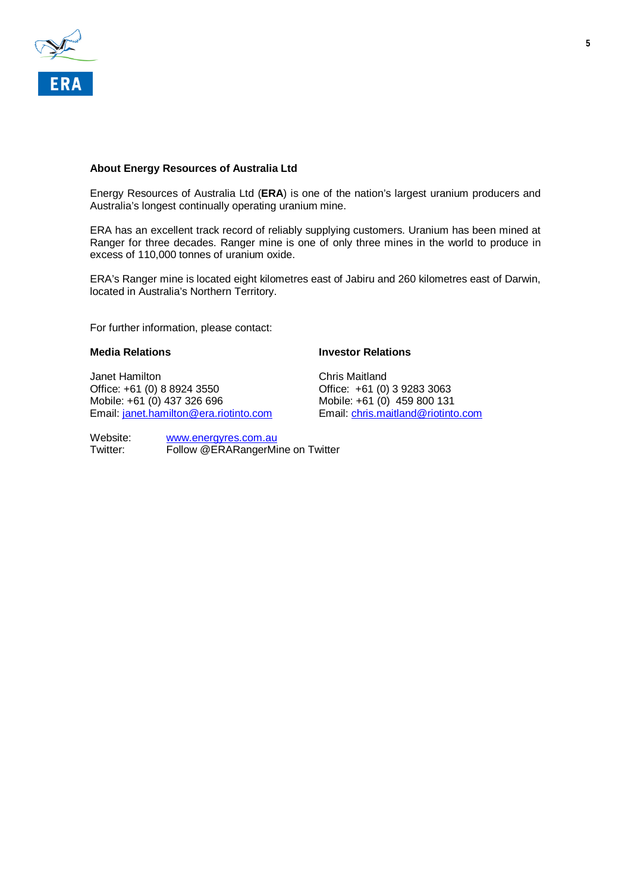

### **About Energy Resources of Australia Ltd**

Energy Resources of Australia Ltd (**ERA**) is one of the nation's largest uranium producers and Australia's longest continually operating uranium mine.

ERA has an excellent track record of reliably supplying customers. Uranium has been mined at Ranger for three decades. Ranger mine is one of only three mines in the world to produce in excess of 110,000 tonnes of uranium oxide.

ERA's Ranger mine is located eight kilometres east of Jabiru and 260 kilometres east of Darwin, located in Australia's Northern Territory.

For further information, please contact:

Janet Hamilton Chris Maitland<br>Office: +61 (0) 8 8924 3550 Chris Chris (0) Mobile: +61 (0) 437 326 696 Mobile: +61 (0) 459 800 131<br>Email: <u>janet.hamilton@era.riotinto.com</u> Email: chris.maitland@riotinto.com Email: [janet.hamilton@era.riotinto.com](mailto:janet.hamilton@era.riotinto.com)

### **Media Relations Investor Relations**

Office: +61 (0) 3 9283 3063

Website: [www.energyres.com.au](http://www.energyres.com.au/)<br>Twitter: Follow @ERARangerMi Follow @ERARangerMine on Twitter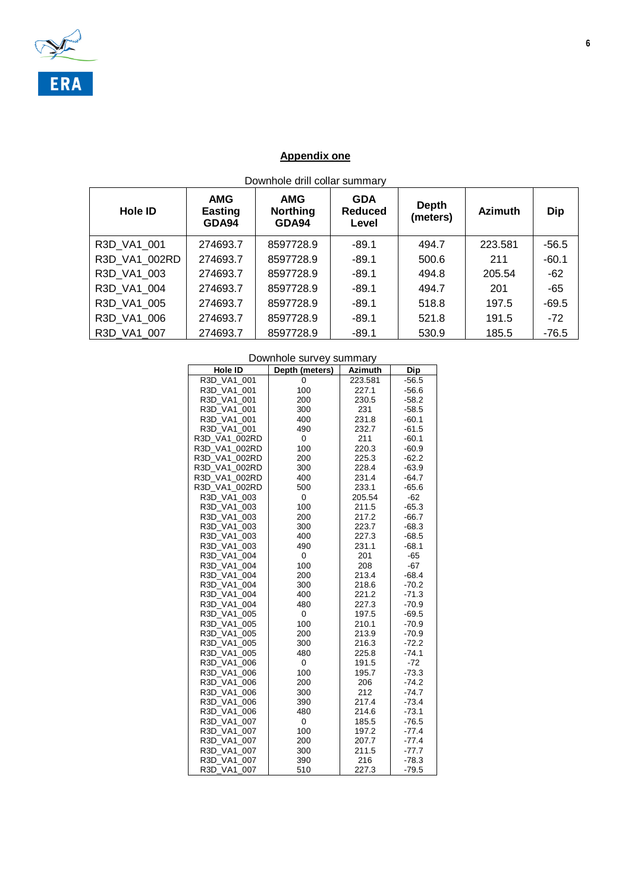

# **Appendix one**

| Downhole drill collar summary |  |
|-------------------------------|--|
|-------------------------------|--|

| <b>Hole ID</b> | <b>AMG</b><br><b>Easting</b><br>GDA94 | <b>AMG</b><br><b>Northing</b><br>GDA94 | <b>GDA</b><br><b>Reduced</b><br>Level | <b>Depth</b><br>(meters) | <b>Azimuth</b> | <b>Dip</b> |
|----------------|---------------------------------------|----------------------------------------|---------------------------------------|--------------------------|----------------|------------|
| R3D VA1 001    | 274693.7                              | 8597728.9                              | $-89.1$                               | 494.7                    | 223.581        | $-56.5$    |
| R3D VA1 002RD  | 274693.7                              | 8597728.9                              | $-89.1$                               | 500.6                    | 211            | $-60.1$    |
| R3D VA1 003    | 274693.7                              | 8597728.9                              | $-89.1$                               | 494.8                    | 205.54         | $-62$      |
| R3D VA1 004    | 274693.7                              | 8597728.9                              | $-89.1$                               | 494.7                    | 201            | $-65$      |
| R3D VA1 005    | 274693.7                              | 8597728.9                              | $-89.1$                               | 518.8                    | 197.5          | $-69.5$    |
| R3D VA1 006    | 274693.7                              | 8597728.9                              | $-89.1$                               | 521.8                    | 191.5          | $-72$      |
| R3D VA1 007    | 274693.7                              | 8597728.9                              | $-89.1$                               | 530.9                    | 185.5          | $-76.5$    |

| Hole ID                    | DUWILIUC JULYUY JULIILIULY<br>Depth (meters) | Azimuth      | Dip                |
|----------------------------|----------------------------------------------|--------------|--------------------|
| R3D VA1 001                | 0                                            | 223.581      | $-56.5$            |
| R3D_VA1_001                | 100                                          | 227.1        | $-56.6$            |
| R3D_VA1_001                | 200                                          | 230.5        | $-58.2$            |
| R3D VA1 001                | 300                                          | 231          | $-58.5$            |
| R3D VA1 001                | 400                                          | 231.8        | $-60.1$            |
| R3D VA1 001                | 490                                          | 232.7        | $-61.5$            |
| R3D_VA1_002RD              | 0                                            | 211          | $-60.1$            |
| R3D VA1 002RD              | 100                                          | 220.3        | $-60.9$            |
| R3D_VA1_002RD              | 200                                          | 225.3        | $-62.2$            |
| R3D VA1 002RD              | 300                                          | 228.4        | $-63.9$            |
| R3D_VA1_002RD              | 400                                          | 231.4        | $-64.7$            |
| R3D_VA1_002RD              | 500                                          | 233.1        | $-65.6$            |
| R3D_VA1_003                | 0                                            | 205.54       | -62                |
| R3D VA1 003                | 100                                          | 211.5        | $-65.3$            |
| R3D_VA1_003                | 200                                          | 217.2        | $-66.7$            |
| R3D VA1 003                | 300                                          | 223.7        | $-68.3$            |
| R3D VA1 003                | 400                                          | 227.3        | $-68.5$            |
| R3D VA1 003                | 490                                          | 231.1        | $-68.1$            |
| R3D_VA1_004                | 0                                            | 201          | $-65$              |
| R3D VA1 004                | 100                                          | 208          | $-67$              |
| R3D VA1 004                | 200                                          | 213.4        | $-68.4$            |
| R3D VA1 004                | 300                                          | 218.6        | $-70.2$            |
| R3D_VA1_004                | 400                                          | 221.2        | $-71.3$            |
| R3D VA1 004                | 480                                          | 227.3        | $-70.9$            |
| R3D VA1 005                | 0                                            | 197.5        | $-69.5$            |
| R3D VA1 005                | 100                                          | 210.1        | $-70.9$            |
| R3D_VA1_005                | 200                                          | 213.9        | $-70.9$            |
| R3D VA1 005                | 300                                          | 216.3        | $-72.2$            |
| R3D VA1 005                | 480                                          | 225.8        | $-74.1$            |
| R3D VA1 006                | 0                                            | 191.5        | $-72$              |
| R3D_VA1_006                | 100                                          | 195.7        | $-73.3$            |
| R3D VA1 006                | 200                                          | 206          | $-74.2$            |
| R3D VA1 006                | 300                                          | 212          | $-74.7$            |
| R3D VA1 006                | 390                                          | 217.4        | $-73.4$            |
| R3D_VA1_006                | 480                                          | 214.6        | $-73.1$            |
| R3D_VA1_007                | 0<br>100                                     | 185.5        | $-76.5$            |
| R3D VA1 007                |                                              | 197.2        | $-77.4$            |
| R3D VA1 007                | 200                                          | 207.7        | $-77.4$            |
| R3D_VA1_007<br>R3D VA1 007 | 300<br>390                                   | 211.5<br>216 | $-77.7$<br>$-78.3$ |
| R3D VA1 007                | 510                                          | 227.3        | $-79.5$            |
|                            |                                              |              |                    |

### Downhole survey summary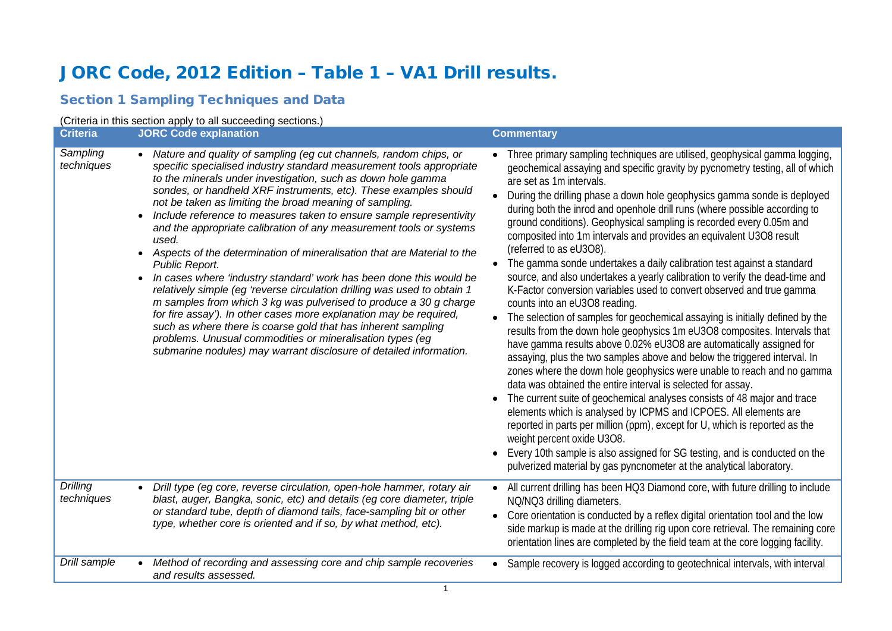# JORC Code, 2012 Edition – Table 1 – VA1 Drill results.

# Section 1 Sampling Techniques and Data

### (Criteria in this section apply to all succeeding sections.)

| <b>Criteria</b>                           | <b>JORC Code explanation</b>                                                                                                                                                                                                                                                                                                                                                                                                                                                                                                                                                                                                                                                                                                                                                                                                                                                                                                                                                                                                                                                                                                                                                          | <b>Commentary</b>                                                                                                                                                                                                                                                                                                                                                                                                                                                                                                                                                                                                                                                                                                                                                                                                                                                                                                                                                                                                                                                                                                                                                                                                                                                                                                                                                                                                                                                                                                                                                                                                                                                                                                                                                   |
|-------------------------------------------|---------------------------------------------------------------------------------------------------------------------------------------------------------------------------------------------------------------------------------------------------------------------------------------------------------------------------------------------------------------------------------------------------------------------------------------------------------------------------------------------------------------------------------------------------------------------------------------------------------------------------------------------------------------------------------------------------------------------------------------------------------------------------------------------------------------------------------------------------------------------------------------------------------------------------------------------------------------------------------------------------------------------------------------------------------------------------------------------------------------------------------------------------------------------------------------|---------------------------------------------------------------------------------------------------------------------------------------------------------------------------------------------------------------------------------------------------------------------------------------------------------------------------------------------------------------------------------------------------------------------------------------------------------------------------------------------------------------------------------------------------------------------------------------------------------------------------------------------------------------------------------------------------------------------------------------------------------------------------------------------------------------------------------------------------------------------------------------------------------------------------------------------------------------------------------------------------------------------------------------------------------------------------------------------------------------------------------------------------------------------------------------------------------------------------------------------------------------------------------------------------------------------------------------------------------------------------------------------------------------------------------------------------------------------------------------------------------------------------------------------------------------------------------------------------------------------------------------------------------------------------------------------------------------------------------------------------------------------|
| Sampling<br>techniques<br><b>Drilling</b> | Nature and quality of sampling (eg cut channels, random chips, or<br>specific specialised industry standard measurement tools appropriate<br>to the minerals under investigation, such as down hole gamma<br>sondes, or handheld XRF instruments, etc). These examples should<br>not be taken as limiting the broad meaning of sampling.<br>Include reference to measures taken to ensure sample representivity<br>and the appropriate calibration of any measurement tools or systems<br>used.<br>Aspects of the determination of mineralisation that are Material to the<br>Public Report.<br>In cases where 'industry standard' work has been done this would be<br>relatively simple (eg 'reverse circulation drilling was used to obtain 1<br>m samples from which 3 kg was pulverised to produce a 30 g charge<br>for fire assay'). In other cases more explanation may be required,<br>such as where there is coarse gold that has inherent sampling<br>problems. Unusual commodities or mineralisation types (eg<br>submarine nodules) may warrant disclosure of detailed information.<br>Drill type (eg core, reverse circulation, open-hole hammer, rotary air<br>$\bullet$ | • Three primary sampling techniques are utilised, geophysical gamma logging,<br>geochemical assaying and specific gravity by pycnometry testing, all of which<br>are set as 1m intervals.<br>During the drilling phase a down hole geophysics gamma sonde is deployed<br>during both the inrod and openhole drill runs (where possible according to<br>ground conditions). Geophysical sampling is recorded every 0.05m and<br>composited into 1m intervals and provides an equivalent U3O8 result<br>(referred to as eU3O8).<br>The gamma sonde undertakes a daily calibration test against a standard<br>source, and also undertakes a yearly calibration to verify the dead-time and<br>K-Factor conversion variables used to convert observed and true gamma<br>counts into an eU3O8 reading.<br>The selection of samples for geochemical assaying is initially defined by the<br>results from the down hole geophysics 1m eU3O8 composites. Intervals that<br>have gamma results above 0.02% eU3O8 are automatically assigned for<br>assaying, plus the two samples above and below the triggered interval. In<br>zones where the down hole geophysics were unable to reach and no gamma<br>data was obtained the entire interval is selected for assay.<br>The current suite of geochemical analyses consists of 48 major and trace<br>elements which is analysed by ICPMS and ICPOES. All elements are<br>reported in parts per million (ppm), except for U, which is reported as the<br>weight percent oxide U3O8.<br>Every 10th sample is also assigned for SG testing, and is conducted on the<br>pulverized material by gas pyncnometer at the analytical laboratory.<br>All current drilling has been HQ3 Diamond core, with future drilling to include |
| techniques                                | blast, auger, Bangka, sonic, etc) and details (eg core diameter, triple<br>or standard tube, depth of diamond tails, face-sampling bit or other<br>type, whether core is oriented and if so, by what method, etc).                                                                                                                                                                                                                                                                                                                                                                                                                                                                                                                                                                                                                                                                                                                                                                                                                                                                                                                                                                    | NQ/NQ3 drilling diameters.<br>Core orientation is conducted by a reflex digital orientation tool and the low<br>side markup is made at the drilling rig upon core retrieval. The remaining core<br>orientation lines are completed by the field team at the core logging facility.                                                                                                                                                                                                                                                                                                                                                                                                                                                                                                                                                                                                                                                                                                                                                                                                                                                                                                                                                                                                                                                                                                                                                                                                                                                                                                                                                                                                                                                                                  |
| Drill sample                              | Method of recording and assessing core and chip sample recoveries<br>and results assessed.                                                                                                                                                                                                                                                                                                                                                                                                                                                                                                                                                                                                                                                                                                                                                                                                                                                                                                                                                                                                                                                                                            | • Sample recovery is logged according to geotechnical intervals, with interval                                                                                                                                                                                                                                                                                                                                                                                                                                                                                                                                                                                                                                                                                                                                                                                                                                                                                                                                                                                                                                                                                                                                                                                                                                                                                                                                                                                                                                                                                                                                                                                                                                                                                      |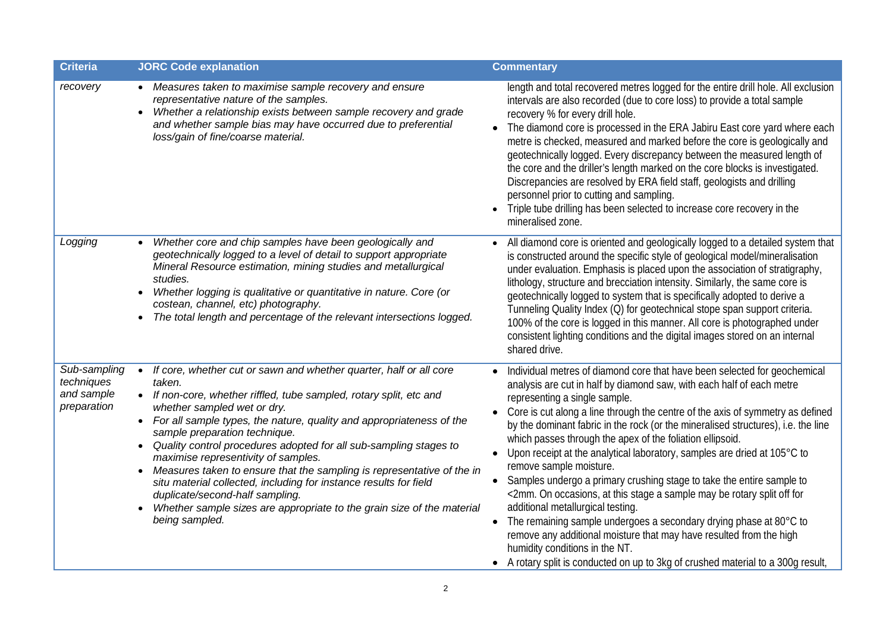| <b>Criteria</b>                                         | <b>JORC Code explanation</b>                                                                                                                                                                                                                                                                                                                                                                                                                                                                                                                                                                                                                                                                                                   | <b>Commentary</b>                                                                                                                                                                                                                                                                                                                                                                                                                                                                                                                                                                                                                                                                                                                                                                                                                                                                                                                                                                                          |
|---------------------------------------------------------|--------------------------------------------------------------------------------------------------------------------------------------------------------------------------------------------------------------------------------------------------------------------------------------------------------------------------------------------------------------------------------------------------------------------------------------------------------------------------------------------------------------------------------------------------------------------------------------------------------------------------------------------------------------------------------------------------------------------------------|------------------------------------------------------------------------------------------------------------------------------------------------------------------------------------------------------------------------------------------------------------------------------------------------------------------------------------------------------------------------------------------------------------------------------------------------------------------------------------------------------------------------------------------------------------------------------------------------------------------------------------------------------------------------------------------------------------------------------------------------------------------------------------------------------------------------------------------------------------------------------------------------------------------------------------------------------------------------------------------------------------|
| recovery                                                | • Measures taken to maximise sample recovery and ensure<br>representative nature of the samples.<br>Whether a relationship exists between sample recovery and grade<br>and whether sample bias may have occurred due to preferential<br>loss/gain of fine/coarse material.                                                                                                                                                                                                                                                                                                                                                                                                                                                     | length and total recovered metres logged for the entire drill hole. All exclusion<br>intervals are also recorded (due to core loss) to provide a total sample<br>recovery % for every drill hole.<br>The diamond core is processed in the ERA Jabiru East core yard where each<br>metre is checked, measured and marked before the core is geologically and<br>geotechnically logged. Every discrepancy between the measured length of<br>the core and the driller's length marked on the core blocks is investigated.<br>Discrepancies are resolved by ERA field staff, geologists and drilling<br>personnel prior to cutting and sampling.<br>Triple tube drilling has been selected to increase core recovery in the<br>mineralised zone.                                                                                                                                                                                                                                                               |
| Logging                                                 | Whether core and chip samples have been geologically and<br>geotechnically logged to a level of detail to support appropriate<br>Mineral Resource estimation, mining studies and metallurgical<br>studies.<br>Whether logging is qualitative or quantitative in nature. Core (or<br>costean, channel, etc) photography.<br>The total length and percentage of the relevant intersections logged.                                                                                                                                                                                                                                                                                                                               | All diamond core is oriented and geologically logged to a detailed system that<br>is constructed around the specific style of geological model/mineralisation<br>under evaluation. Emphasis is placed upon the association of stratigraphy,<br>lithology, structure and brecciation intensity. Similarly, the same core is<br>geotechnically logged to system that is specifically adopted to derive a<br>Tunneling Quality Index (Q) for geotechnical stope span support criteria.<br>100% of the core is logged in this manner. All core is photographed under<br>consistent lighting conditions and the digital images stored on an internal<br>shared drive.                                                                                                                                                                                                                                                                                                                                           |
| Sub-sampling<br>techniques<br>and sample<br>preparation | If core, whether cut or sawn and whether quarter, half or all core<br>$\bullet$<br>taken.<br>• If non-core, whether riffled, tube sampled, rotary split, etc and<br>whether sampled wet or dry.<br>• For all sample types, the nature, quality and appropriateness of the<br>sample preparation technique.<br>Quality control procedures adopted for all sub-sampling stages to<br>$\bullet$<br>maximise representivity of samples.<br>Measures taken to ensure that the sampling is representative of the in<br>situ material collected, including for instance results for field<br>duplicate/second-half sampling.<br>Whether sample sizes are appropriate to the grain size of the material<br>$\bullet$<br>being sampled. | Individual metres of diamond core that have been selected for geochemical<br>analysis are cut in half by diamond saw, with each half of each metre<br>representing a single sample.<br>Core is cut along a line through the centre of the axis of symmetry as defined<br>$\bullet$<br>by the dominant fabric in the rock (or the mineralised structures), i.e. the line<br>which passes through the apex of the foliation ellipsoid.<br>• Upon receipt at the analytical laboratory, samples are dried at 105°C to<br>remove sample moisture.<br>• Samples undergo a primary crushing stage to take the entire sample to<br><2mm. On occasions, at this stage a sample may be rotary split off for<br>additional metallurgical testing.<br>The remaining sample undergoes a secondary drying phase at 80°C to<br>remove any additional moisture that may have resulted from the high<br>humidity conditions in the NT.<br>• A rotary split is conducted on up to 3kg of crushed material to a 300g result, |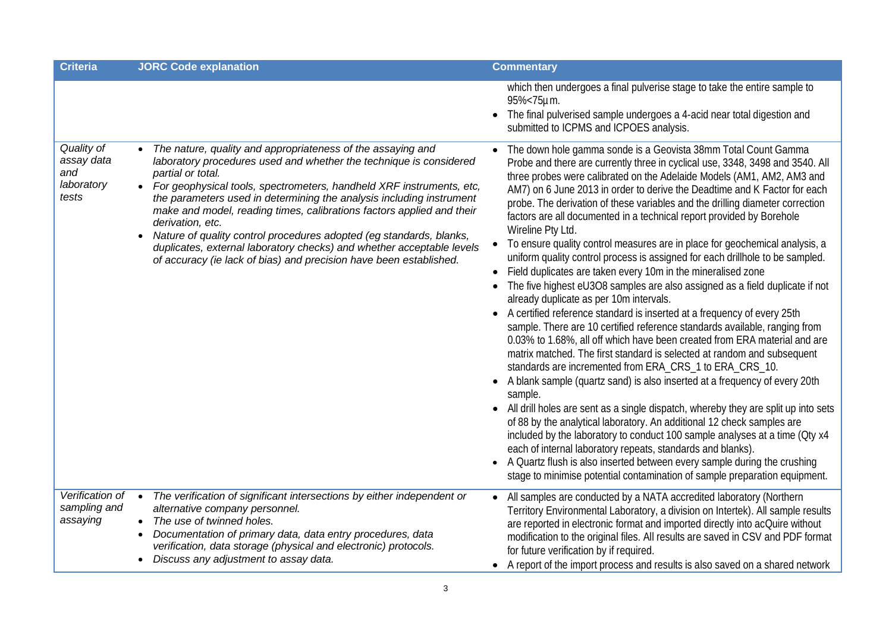| <b>Criteria</b>                                        | <b>JORC Code explanation</b>                                                                                                                                                                                                                                                                                                                                                                                                                                                                                                                                                                                                             | <b>Commentary</b>                                                                                                                                                                                                                                                                                                                                                                                                                                                                                                                                                                                                                                                                                                                                                                                                                                                                                                                                                                                                                                                                                                                                                                                                                                                                                                                                                                                                                                                                                                                                                                                                                                                                                                                                                                                 |
|--------------------------------------------------------|------------------------------------------------------------------------------------------------------------------------------------------------------------------------------------------------------------------------------------------------------------------------------------------------------------------------------------------------------------------------------------------------------------------------------------------------------------------------------------------------------------------------------------------------------------------------------------------------------------------------------------------|---------------------------------------------------------------------------------------------------------------------------------------------------------------------------------------------------------------------------------------------------------------------------------------------------------------------------------------------------------------------------------------------------------------------------------------------------------------------------------------------------------------------------------------------------------------------------------------------------------------------------------------------------------------------------------------------------------------------------------------------------------------------------------------------------------------------------------------------------------------------------------------------------------------------------------------------------------------------------------------------------------------------------------------------------------------------------------------------------------------------------------------------------------------------------------------------------------------------------------------------------------------------------------------------------------------------------------------------------------------------------------------------------------------------------------------------------------------------------------------------------------------------------------------------------------------------------------------------------------------------------------------------------------------------------------------------------------------------------------------------------------------------------------------------------|
|                                                        |                                                                                                                                                                                                                                                                                                                                                                                                                                                                                                                                                                                                                                          | which then undergoes a final pulverise stage to take the entire sample to<br>95%<75µm.<br>The final pulverised sample undergoes a 4-acid near total digestion and<br>submitted to ICPMS and ICPOES analysis.                                                                                                                                                                                                                                                                                                                                                                                                                                                                                                                                                                                                                                                                                                                                                                                                                                                                                                                                                                                                                                                                                                                                                                                                                                                                                                                                                                                                                                                                                                                                                                                      |
| Quality of<br>assay data<br>and<br>laboratory<br>tests | The nature, quality and appropriateness of the assaying and<br>laboratory procedures used and whether the technique is considered<br>partial or total.<br>• For geophysical tools, spectrometers, handheld XRF instruments, etc,<br>the parameters used in determining the analysis including instrument<br>make and model, reading times, calibrations factors applied and their<br>derivation, etc.<br>Nature of quality control procedures adopted (eg standards, blanks,<br>$\bullet$<br>duplicates, external laboratory checks) and whether acceptable levels<br>of accuracy (ie lack of bias) and precision have been established. | The down hole gamma sonde is a Geovista 38mm Total Count Gamma<br>Probe and there are currently three in cyclical use, 3348, 3498 and 3540. All<br>three probes were calibrated on the Adelaide Models (AM1, AM2, AM3 and<br>AM7) on 6 June 2013 in order to derive the Deadtime and K Factor for each<br>probe. The derivation of these variables and the drilling diameter correction<br>factors are all documented in a technical report provided by Borehole<br>Wireline Pty Ltd.<br>• To ensure quality control measures are in place for geochemical analysis, a<br>uniform quality control process is assigned for each drillhole to be sampled.<br>Field duplicates are taken every 10m in the mineralised zone<br>The five highest eU3O8 samples are also assigned as a field duplicate if not<br>already duplicate as per 10m intervals.<br>A certified reference standard is inserted at a frequency of every 25th<br>sample. There are 10 certified reference standards available, ranging from<br>0.03% to 1.68%, all off which have been created from ERA material and are<br>matrix matched. The first standard is selected at random and subsequent<br>standards are incremented from ERA_CRS_1 to ERA_CRS_10.<br>A blank sample (quartz sand) is also inserted at a frequency of every 20th<br>sample.<br>• All drill holes are sent as a single dispatch, whereby they are split up into sets<br>of 88 by the analytical laboratory. An additional 12 check samples are<br>included by the laboratory to conduct 100 sample analyses at a time (Oty x4<br>each of internal laboratory repeats, standards and blanks).<br>A Quartz flush is also inserted between every sample during the crushing<br>stage to minimise potential contamination of sample preparation equipment. |
| Verification of<br>sampling and<br>assaying            | The verification of significant intersections by either independent or<br>$\bullet$<br>alternative company personnel.<br>• The use of twinned holes.<br>Documentation of primary data, data entry procedures, data<br>$\bullet$<br>verification, data storage (physical and electronic) protocols.<br>Discuss any adjustment to assay data.                                                                                                                                                                                                                                                                                              | • All samples are conducted by a NATA accredited laboratory (Northern<br>Territory Environmental Laboratory, a division on Intertek). All sample results<br>are reported in electronic format and imported directly into acQuire without<br>modification to the original files. All results are saved in CSV and PDF format<br>for future verification by if required.<br>• A report of the import process and results is also saved on a shared network                                                                                                                                                                                                                                                                                                                                                                                                                                                                                                                                                                                                                                                                                                                                                                                                                                                                                                                                                                                                                                                                                                                                                                                                                                                                                                                                          |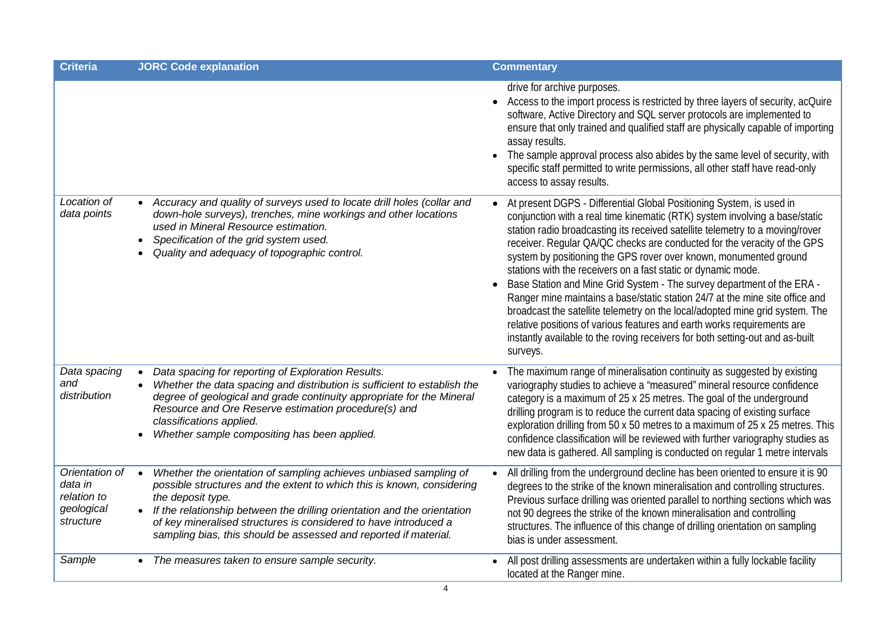| <b>Criteria</b>                                                     | <b>JORC Code explanation</b>                                                                                                                                                                                                                                                                                                                                                                      | <b>Commentary</b>                                                                                                                                                                                                                                                                                                                                                                                                                                                                                                                                                                                                                                                                                                                                                                                                                                                        |
|---------------------------------------------------------------------|---------------------------------------------------------------------------------------------------------------------------------------------------------------------------------------------------------------------------------------------------------------------------------------------------------------------------------------------------------------------------------------------------|--------------------------------------------------------------------------------------------------------------------------------------------------------------------------------------------------------------------------------------------------------------------------------------------------------------------------------------------------------------------------------------------------------------------------------------------------------------------------------------------------------------------------------------------------------------------------------------------------------------------------------------------------------------------------------------------------------------------------------------------------------------------------------------------------------------------------------------------------------------------------|
|                                                                     |                                                                                                                                                                                                                                                                                                                                                                                                   | drive for archive purposes.<br>Access to the import process is restricted by three layers of security, acQuire<br>$\bullet$<br>software, Active Directory and SQL server protocols are implemented to<br>ensure that only trained and qualified staff are physically capable of importing<br>assay results.<br>The sample approval process also abides by the same level of security, with<br>$\bullet$<br>specific staff permitted to write permissions, all other staff have read-only<br>access to assay results.                                                                                                                                                                                                                                                                                                                                                     |
| Location of<br>data points                                          | Accuracy and quality of surveys used to locate drill holes (collar and<br>down-hole surveys), trenches, mine workings and other locations<br>used in Mineral Resource estimation.<br>Specification of the grid system used.<br>Quality and adequacy of topographic control.                                                                                                                       | At present DGPS - Differential Global Positioning System, is used in<br>conjunction with a real time kinematic (RTK) system involving a base/static<br>station radio broadcasting its received satellite telemetry to a moving/rover<br>receiver. Regular QA/QC checks are conducted for the veracity of the GPS<br>system by positioning the GPS rover over known, monumented ground<br>stations with the receivers on a fast static or dynamic mode.<br>Base Station and Mine Grid System - The survey department of the ERA -<br>Ranger mine maintains a base/static station 24/7 at the mine site office and<br>broadcast the satellite telemetry on the local/adopted mine grid system. The<br>relative positions of various features and earth works requirements are<br>instantly available to the roving receivers for both setting-out and as-built<br>surveys. |
| Data spacing<br>and<br>distribution                                 | Data spacing for reporting of Exploration Results.<br>$\bullet$<br>Whether the data spacing and distribution is sufficient to establish the<br>degree of geological and grade continuity appropriate for the Mineral<br>Resource and Ore Reserve estimation procedure(s) and<br>classifications applied.<br>Whether sample compositing has been applied.                                          | The maximum range of mineralisation continuity as suggested by existing<br>variography studies to achieve a "measured" mineral resource confidence<br>category is a maximum of 25 x 25 metres. The goal of the underground<br>drilling program is to reduce the current data spacing of existing surface<br>exploration drilling from 50 x 50 metres to a maximum of 25 x 25 metres. This<br>confidence classification will be reviewed with further variography studies as<br>new data is gathered. All sampling is conducted on regular 1 metre intervals                                                                                                                                                                                                                                                                                                              |
| Orientation of<br>data in<br>relation to<br>geological<br>structure | Whether the orientation of sampling achieves unbiased sampling of<br>$\bullet$<br>possible structures and the extent to which this is known, considering<br>the deposit type.<br>If the relationship between the drilling orientation and the orientation<br>of key mineralised structures is considered to have introduced a<br>sampling bias, this should be assessed and reported if material. | All drilling from the underground decline has been oriented to ensure it is 90<br>degrees to the strike of the known mineralisation and controlling structures.<br>Previous surface drilling was oriented parallel to northing sections which was<br>not 90 degrees the strike of the known mineralisation and controlling<br>structures. The influence of this change of drilling orientation on sampling<br>bias is under assessment.                                                                                                                                                                                                                                                                                                                                                                                                                                  |
| Sample                                                              | The measures taken to ensure sample security.                                                                                                                                                                                                                                                                                                                                                     | All post drilling assessments are undertaken within a fully lockable facility<br>located at the Ranger mine.                                                                                                                                                                                                                                                                                                                                                                                                                                                                                                                                                                                                                                                                                                                                                             |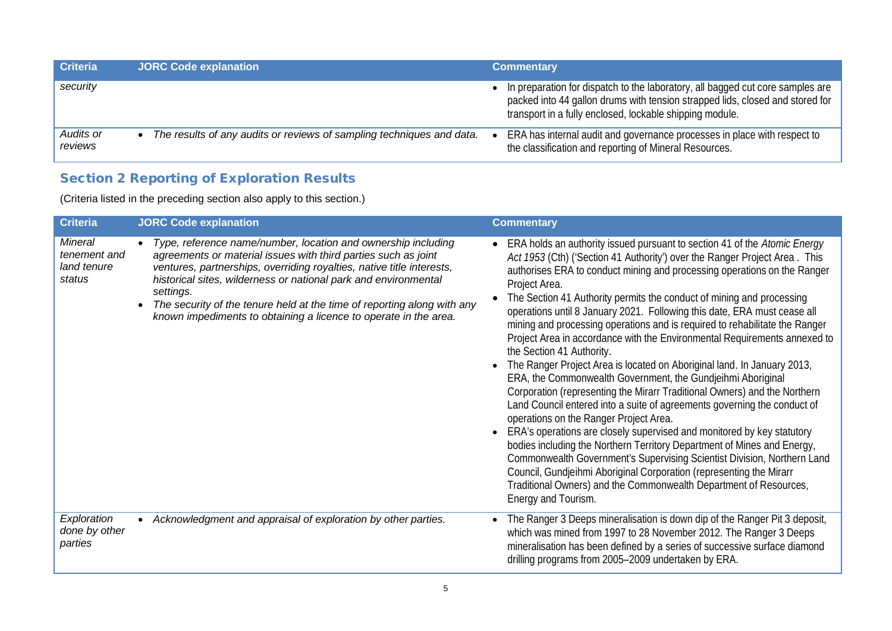| <b>Criteria</b>      | <b>JORC Code explanation</b>                                          | <b>Commentary</b>                                                                                                                                                                                                           |
|----------------------|-----------------------------------------------------------------------|-----------------------------------------------------------------------------------------------------------------------------------------------------------------------------------------------------------------------------|
| security             |                                                                       | In preparation for dispatch to the laboratory, all bagged cut core samples are<br>packed into 44 gallon drums with tension strapped lids, closed and stored for<br>transport in a fully enclosed, lockable shipping module. |
| Audits or<br>reviews | The results of any audits or reviews of sampling techniques and data. | ERA has internal audit and governance processes in place with respect to<br>the classification and reporting of Mineral Resources.                                                                                          |

# Section 2 Reporting of Exploration Results

(Criteria listed in the preceding section also apply to this section.)

| <b>Criteria</b>                                         | <b>JORC Code explanation</b>                                                                                                                                                                                                                                                                                                                                                                                                            | <b>Commentary</b>                                                                                                                                                                                                                                                                                                                                                                                                                                                                                                                                                                                                                                                                                                                                                                                                                                                                                                                                                                                                                                                                                                                                                                                                                                                                                                                                  |
|---------------------------------------------------------|-----------------------------------------------------------------------------------------------------------------------------------------------------------------------------------------------------------------------------------------------------------------------------------------------------------------------------------------------------------------------------------------------------------------------------------------|----------------------------------------------------------------------------------------------------------------------------------------------------------------------------------------------------------------------------------------------------------------------------------------------------------------------------------------------------------------------------------------------------------------------------------------------------------------------------------------------------------------------------------------------------------------------------------------------------------------------------------------------------------------------------------------------------------------------------------------------------------------------------------------------------------------------------------------------------------------------------------------------------------------------------------------------------------------------------------------------------------------------------------------------------------------------------------------------------------------------------------------------------------------------------------------------------------------------------------------------------------------------------------------------------------------------------------------------------|
| <b>Mineral</b><br>tenement and<br>land tenure<br>status | Type, reference name/number, location and ownership including<br>agreements or material issues with third parties such as joint<br>ventures, partnerships, overriding royalties, native title interests,<br>historical sites, wilderness or national park and environmental<br>settings.<br>The security of the tenure held at the time of reporting along with any<br>known impediments to obtaining a licence to operate in the area. | ERA holds an authority issued pursuant to section 41 of the Atomic Energy<br>Act 1953 (Cth) ('Section 41 Authority') over the Ranger Project Area. This<br>authorises ERA to conduct mining and processing operations on the Ranger<br>Project Area.<br>The Section 41 Authority permits the conduct of mining and processing<br>operations until 8 January 2021. Following this date, ERA must cease all<br>mining and processing operations and is required to rehabilitate the Ranger<br>Project Area in accordance with the Environmental Requirements annexed to<br>the Section 41 Authority.<br>The Ranger Project Area is located on Aboriginal land. In January 2013,<br>ERA, the Commonwealth Government, the Gundjeihmi Aboriginal<br>Corporation (representing the Mirarr Traditional Owners) and the Northern<br>Land Council entered into a suite of agreements governing the conduct of<br>operations on the Ranger Project Area.<br>ERA's operations are closely supervised and monitored by key statutory<br>bodies including the Northern Territory Department of Mines and Energy,<br>Commonwealth Government's Supervising Scientist Division, Northern Land<br>Council, Gundjeihmi Aboriginal Corporation (representing the Mirarr<br>Traditional Owners) and the Commonwealth Department of Resources,<br>Energy and Tourism. |
| Exploration<br>done by other<br>parties                 | Acknowledgment and appraisal of exploration by other parties.                                                                                                                                                                                                                                                                                                                                                                           | The Ranger 3 Deeps mineralisation is down dip of the Ranger Pit 3 deposit,<br>which was mined from 1997 to 28 November 2012. The Ranger 3 Deeps<br>mineralisation has been defined by a series of successive surface diamond<br>drilling programs from 2005-2009 undertaken by ERA.                                                                                                                                                                                                                                                                                                                                                                                                                                                                                                                                                                                                                                                                                                                                                                                                                                                                                                                                                                                                                                                                |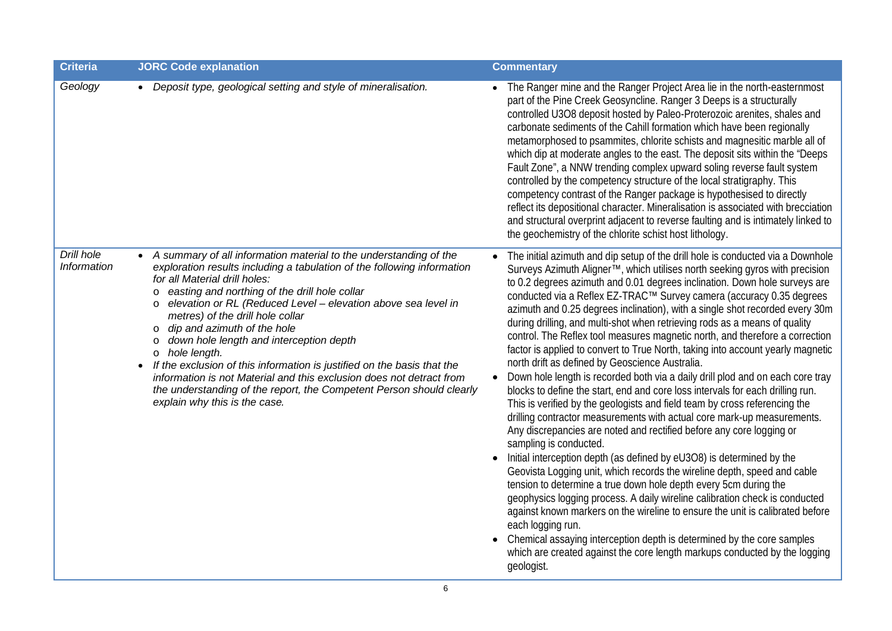| <b>Criteria</b>           | <b>JORC Code explanation</b>                                                                                                                                                                                                                                                                                                                                                                                                                                                                                                                                                                                                                                                                                                                | <b>Commentary</b>                                                                                                                                                                                                                                                                                                                                                                                                                                                                                                                                                                                                                                                                                                                                                                                                                                                                                                                                                                                                                                                                                                                                                                                                                                                                                                                                                                                                                                                                                                                                                                                                                                                                                                                                     |
|---------------------------|---------------------------------------------------------------------------------------------------------------------------------------------------------------------------------------------------------------------------------------------------------------------------------------------------------------------------------------------------------------------------------------------------------------------------------------------------------------------------------------------------------------------------------------------------------------------------------------------------------------------------------------------------------------------------------------------------------------------------------------------|-------------------------------------------------------------------------------------------------------------------------------------------------------------------------------------------------------------------------------------------------------------------------------------------------------------------------------------------------------------------------------------------------------------------------------------------------------------------------------------------------------------------------------------------------------------------------------------------------------------------------------------------------------------------------------------------------------------------------------------------------------------------------------------------------------------------------------------------------------------------------------------------------------------------------------------------------------------------------------------------------------------------------------------------------------------------------------------------------------------------------------------------------------------------------------------------------------------------------------------------------------------------------------------------------------------------------------------------------------------------------------------------------------------------------------------------------------------------------------------------------------------------------------------------------------------------------------------------------------------------------------------------------------------------------------------------------------------------------------------------------------|
| Geology                   | • Deposit type, geological setting and style of mineralisation.                                                                                                                                                                                                                                                                                                                                                                                                                                                                                                                                                                                                                                                                             | • The Ranger mine and the Ranger Project Area lie in the north-easternmost<br>part of the Pine Creek Geosyncline. Ranger 3 Deeps is a structurally<br>controlled U3O8 deposit hosted by Paleo-Proterozoic arenites, shales and<br>carbonate sediments of the Cahill formation which have been regionally<br>metamorphosed to psammites, chlorite schists and magnesitic marble all of<br>which dip at moderate angles to the east. The deposit sits within the "Deeps<br>Fault Zone", a NNW trending complex upward soling reverse fault system<br>controlled by the competency structure of the local stratigraphy. This<br>competency contrast of the Ranger package is hypothesised to directly<br>reflect its depositional character. Mineralisation is associated with brecciation<br>and structural overprint adjacent to reverse faulting and is intimately linked to<br>the geochemistry of the chlorite schist host lithology.                                                                                                                                                                                                                                                                                                                                                                                                                                                                                                                                                                                                                                                                                                                                                                                                               |
| Drill hole<br>Information | A summary of all information material to the understanding of the<br>exploration results including a tabulation of the following information<br>for all Material drill holes:<br>easting and northing of the drill hole collar<br>O<br>elevation or RL (Reduced Level - elevation above sea level in<br>O<br>metres) of the drill hole collar<br>dip and azimuth of the hole<br>O<br>down hole length and interception depth<br>$\circ$<br>hole length.<br>$\circ$<br>If the exclusion of this information is justified on the basis that the<br>$\bullet$<br>information is not Material and this exclusion does not detract from<br>the understanding of the report, the Competent Person should clearly<br>explain why this is the case. | The initial azimuth and dip setup of the drill hole is conducted via a Downhole<br>Surveys Azimuth Aligner <sup>™</sup> , which utilises north seeking gyros with precision<br>to 0.2 degrees azimuth and 0.01 degrees inclination. Down hole surveys are<br>conducted via a Reflex EZ-TRAC™ Survey camera (accuracy 0.35 degrees<br>azimuth and 0.25 degrees inclination), with a single shot recorded every 30m<br>during drilling, and multi-shot when retrieving rods as a means of quality<br>control. The Reflex tool measures magnetic north, and therefore a correction<br>factor is applied to convert to True North, taking into account yearly magnetic<br>north drift as defined by Geoscience Australia.<br>Down hole length is recorded both via a daily drill plod and on each core tray<br>$\bullet$<br>blocks to define the start, end and core loss intervals for each drilling run.<br>This is verified by the geologists and field team by cross referencing the<br>drilling contractor measurements with actual core mark-up measurements.<br>Any discrepancies are noted and rectified before any core logging or<br>sampling is conducted.<br>Initial interception depth (as defined by eU3O8) is determined by the<br>Geovista Logging unit, which records the wireline depth, speed and cable<br>tension to determine a true down hole depth every 5cm during the<br>geophysics logging process. A daily wireline calibration check is conducted<br>against known markers on the wireline to ensure the unit is calibrated before<br>each logging run.<br>Chemical assaying interception depth is determined by the core samples<br>which are created against the core length markups conducted by the logging<br>geologist. |